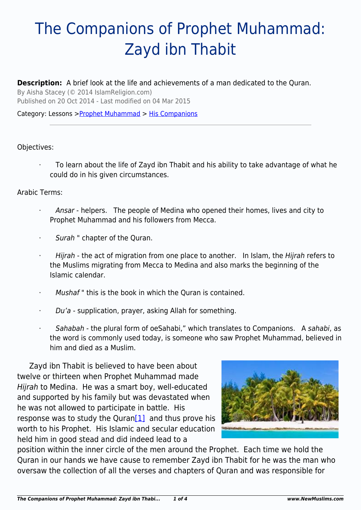# The Companions of Prophet Muhammad: Zayd ibn Thabit

### **Description:** A brief look at the life and achievements of a man dedicated to the Quran.

By Aisha Stacey (© 2014 IslamReligion.com) Published on 20 Oct 2014 - Last modified on 04 Mar 2015

#### Category: Lessons >[Prophet Muhammad](http://www.newmuslims.com/category/135/) > [His Companions](http://www.newmuslims.com/category/176/)

#### Objectives:

· To learn about the life of Zayd ibn Thabit and his ability to take advantage of what he could do in his given circumstances.

#### Arabic Terms:

- Ansar helpers. The people of Medina who opened their homes, lives and city to Prophet Muhammad and his followers from Mecca.
- Surah " chapter of the Quran.
- · Hijrah the act of migration from one place to another. In Islam, the Hijrah refers to the Muslims migrating from Mecca to Medina and also marks the beginning of the Islamic calendar.
- Mushaf" this is the book in which the Quran is contained.
- Du'a supplication, prayer, asking Allah for something.
- Sahabah the plural form of oeSahabi," which translates to Companions. A sahabi, as the word is commonly used today, is someone who saw Prophet Muhammad, believed in him and died as a Muslim.

Zayd ibn Thabit is believed to have been about twelve or thirteen when Prophet Muhammad made Hijrah to Medina. He was a smart boy, well-educated and supported by his family but was devastated when he was not allowed to participate in battle. His response was to study the Quran $[1]$  and thus prove his worth to his Prophet. His Islamic and secular education held him in good stead and did indeed lead to a



<span id="page-0-0"></span>position within the inner circle of the men around the Prophet. Each time we hold the Quran in our hands we have cause to remember Zayd ibn Thabit for he was the man who oversaw the collection of all the verses and chapters of Quran and was responsible for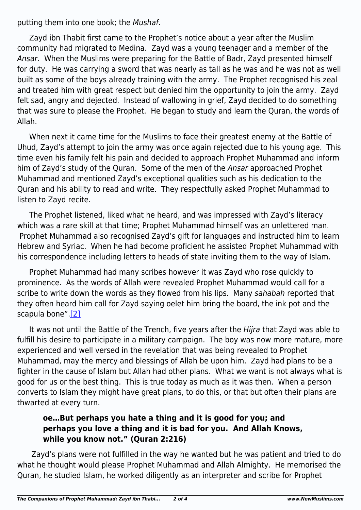putting them into one book; the Mushaf.

Zayd ibn Thabit first came to the Prophet's notice about a year after the Muslim community had migrated to Medina. Zayd was a young teenager and a member of the Ansar. When the Muslims were preparing for the Battle of Badr, Zayd presented himself for duty. He was carrying a sword that was nearly as tall as he was and he was not as well built as some of the boys already training with the army. The Prophet recognised his zeal and treated him with great respect but denied him the opportunity to join the army. Zayd felt sad, angry and dejected. Instead of wallowing in grief, Zayd decided to do something that was sure to please the Prophet. He began to study and learn the Quran, the words of Allah.

When next it came time for the Muslims to face their greatest enemy at the Battle of Uhud, Zayd's attempt to join the army was once again rejected due to his young age. This time even his family felt his pain and decided to approach Prophet Muhammad and inform him of Zayd's study of the Quran. Some of the men of the Ansar approached Prophet Muhammad and mentioned Zayd's exceptional qualities such as his dedication to the Quran and his ability to read and write. They respectfully asked Prophet Muhammad to listen to Zayd recite.

The Prophet listened, liked what he heard, and was impressed with Zayd's literacy which was a rare skill at that time; Prophet Muhammad himself was an unlettered man. Prophet Muhammad also recognised Zayd's gift for languages and instructed him to learn Hebrew and Syriac. When he had become proficient he assisted Prophet Muhammad with his correspondence including letters to heads of state inviting them to the way of Islam.

Prophet Muhammad had many scribes however it was Zayd who rose quickly to prominence. As the words of Allah were revealed Prophet Muhammad would call for a scribe to write down the words as they flowed from his lips. Many sahabah reported that they often heard him call for Zayd saying oelet him bring the board, the ink pot and the scapula bone".[\[2\]](#page-2-1)

<span id="page-1-0"></span>It was not until the Battle of the Trench, five years after the Hijra that Zayd was able to fulfill his desire to participate in a military campaign. The boy was now more mature, more experienced and well versed in the revelation that was being revealed to Prophet Muhammad, may the mercy and blessings of Allah be upon him. Zayd had plans to be a fighter in the cause of Islam but Allah had other plans. What we want is not always what is good for us or the best thing. This is true today as much as it was then. When a person converts to Islam they might have great plans, to do this, or that but often their plans are thwarted at every turn.

## **oe…But perhaps you hate a thing and it is good for you; and perhaps you love a thing and it is bad for you. And Allah Knows, while you know not." (Quran 2:216)**

 Zayd's plans were not fulfilled in the way he wanted but he was patient and tried to do what he thought would please Prophet Muhammad and Allah Almighty. He memorised the Quran, he studied Islam, he worked diligently as an interpreter and scribe for Prophet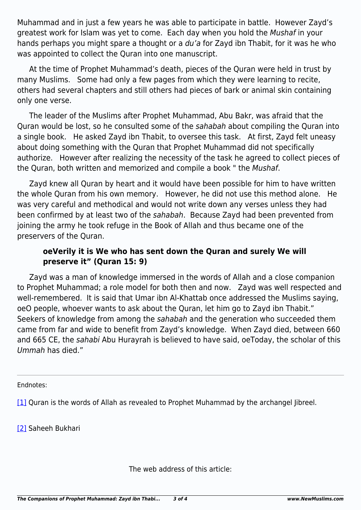Muhammad and in just a few years he was able to participate in battle. However Zayd's greatest work for Islam was yet to come. Each day when you hold the Mushaf in your hands perhaps you might spare a thought or a du'a for Zayd ibn Thabit, for it was he who was appointed to collect the Quran into one manuscript.

At the time of Prophet Muhammad's death, pieces of the Quran were held in trust by many Muslims. Some had only a few pages from which they were learning to recite, others had several chapters and still others had pieces of bark or animal skin containing only one verse.

The leader of the Muslims after Prophet Muhammad, Abu Bakr, was afraid that the Quran would be lost, so he consulted some of the sahabah about compiling the Quran into a single book. He asked Zayd ibn Thabit, to oversee this task. At first, Zayd felt uneasy about doing something with the Quran that Prophet Muhammad did not specifically authorize. However after realizing the necessity of the task he agreed to collect pieces of the Quran, both written and memorized and compile a book " the Mushaf.

Zayd knew all Quran by heart and it would have been possible for him to have written the whole Quran from his own memory. However, he did not use this method alone. He was very careful and methodical and would not write down any verses unless they had been confirmed by at least two of the sahabah. Because Zayd had been prevented from joining the army he took refuge in the Book of Allah and thus became one of the preservers of the Quran.

## **oeVerily it is We who has sent down the Quran and surely We will preserve it" (Quran 15: 9)**

Zayd was a man of knowledge immersed in the words of Allah and a close companion to Prophet Muhammad; a role model for both then and now. Zayd was well respected and well-remembered. It is said that Umar ibn Al-Khattab once addressed the Muslims saying, oeO people, whoever wants to ask about the Quran, let him go to Zayd ibn Thabit." Seekers of knowledge from among the sahabah and the generation who succeeded them came from far and wide to benefit from Zayd's knowledge. When Zayd died, between 660 and 665 CE, the sahabi Abu Hurayrah is believed to have said, oeToday, the scholar of this Ummah has died."

<span id="page-2-0"></span>Endnotes:

[\[1\]](#page-0-0) Quran is the words of Allah as revealed to Prophet Muhammad by the archangel libreel.

<span id="page-2-1"></span>[\[2\]](#page-1-0) Saheeh Bukhari

The web address of this article: